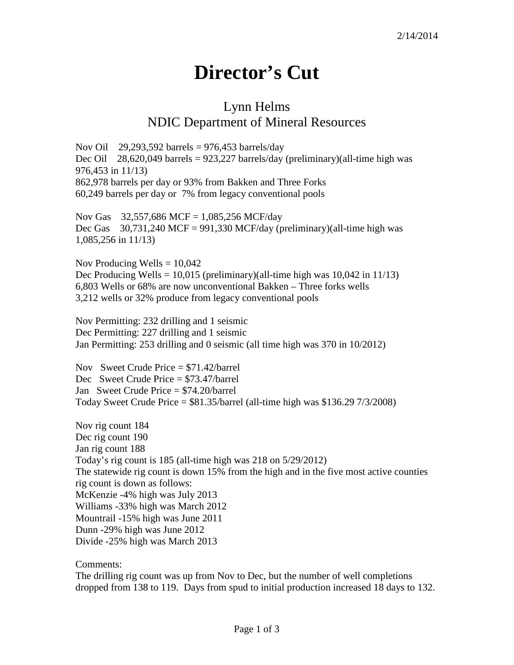## **Director's Cut**

## Lynn Helms NDIC Department of Mineral Resources

Nov Oil 29,293,592 barrels = 976,453 barrels/day Dec Oil 28,620,049 barrels =  $923,227$  barrels/day (preliminary)(all-time high was 976,453 in 11/13) 862,978 barrels per day or 93% from Bakken and Three Forks 60,249 barrels per day or 7% from legacy conventional pools

Nov Gas 32,557,686 MCF = 1,085,256 MCF/day Dec Gas  $30,731,240$  MCF = 991,330 MCF/day (preliminary)(all-time high was 1,085,256 in 11/13)

Nov Producing Wells  $= 10,042$ Dec Producing Wells =  $10,015$  (preliminary)(all-time high was  $10,042$  in  $11/13$ ) 6,803 Wells or 68% are now unconventional Bakken – Three forks wells 3,212 wells or 32% produce from legacy conventional pools

Nov Permitting: 232 drilling and 1 seismic Dec Permitting: 227 drilling and 1 seismic Jan Permitting: 253 drilling and 0 seismic (all time high was 370 in 10/2012)

Nov Sweet Crude Price = \$71.42/barrel Dec Sweet Crude Price = \$73.47/barrel Jan Sweet Crude Price = \$74.20/barrel Today Sweet Crude Price  $= $81.35/b$ arrel (all-time high was \$136.29 7/3/2008)

Nov rig count 184 Dec rig count 190 Jan rig count 188 Today's rig count is 185 (all-time high was 218 on 5/29/2012) The statewide rig count is down 15% from the high and in the five most active counties rig count is down as follows: McKenzie -4% high was July 2013 Williams -33% high was March 2012 Mountrail -15% high was June 2011 Dunn -29% high was June 2012 Divide -25% high was March 2013

Comments:

The drilling rig count was up from Nov to Dec, but the number of well completions dropped from 138 to 119. Days from spud to initial production increased 18 days to 132.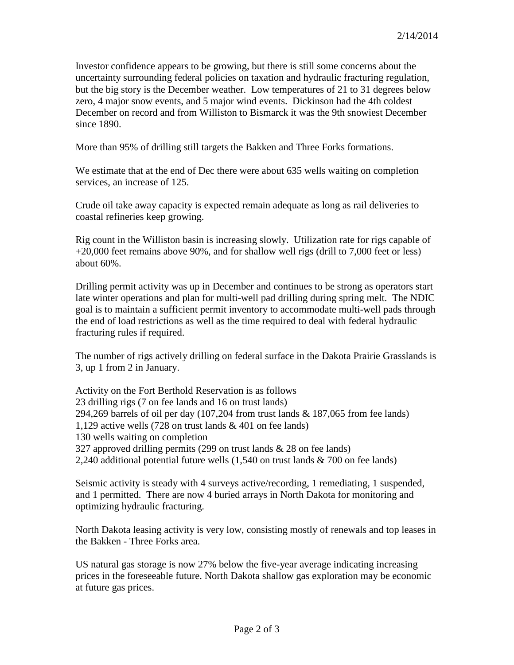Investor confidence appears to be growing, but there is still some concerns about the uncertainty surrounding federal policies on taxation and hydraulic fracturing regulation, but the big story is the December weather. Low temperatures of 21 to 31 degrees below zero, 4 major snow events, and 5 major wind events. Dickinson had the 4th coldest December on record and from Williston to Bismarck it was the 9th snowiest December since 1890.

More than 95% of drilling still targets the Bakken and Three Forks formations.

We estimate that at the end of Dec there were about 635 wells waiting on completion services, an increase of 125.

Crude oil take away capacity is expected remain adequate as long as rail deliveries to coastal refineries keep growing.

Rig count in the Williston basin is increasing slowly. Utilization rate for rigs capable of +20,000 feet remains above 90%, and for shallow well rigs (drill to 7,000 feet or less) about 60%.

Drilling permit activity was up in December and continues to be strong as operators start late winter operations and plan for multi-well pad drilling during spring melt. The NDIC goal is to maintain a sufficient permit inventory to accommodate multi-well pads through the end of load restrictions as well as the time required to deal with federal hydraulic fracturing rules if required.

The number of rigs actively drilling on federal surface in the Dakota Prairie Grasslands is 3, up 1 from 2 in January.

Activity on the Fort Berthold Reservation is as follows 23 drilling rigs (7 on fee lands and 16 on trust lands) 294,269 barrels of oil per day (107,204 from trust lands & 187,065 from fee lands) 1,129 active wells (728 on trust lands & 401 on fee lands) 130 wells waiting on completion 327 approved drilling permits (299 on trust lands & 28 on fee lands) 2,240 additional potential future wells (1,540 on trust lands & 700 on fee lands)

Seismic activity is steady with 4 surveys active/recording, 1 remediating, 1 suspended, and 1 permitted. There are now 4 buried arrays in North Dakota for monitoring and optimizing hydraulic fracturing.

North Dakota leasing activity is very low, consisting mostly of renewals and top leases in the Bakken - Three Forks area.

US natural gas storage is now 27% below the five-year average indicating increasing prices in the foreseeable future. North Dakota shallow gas exploration may be economic at future gas prices.